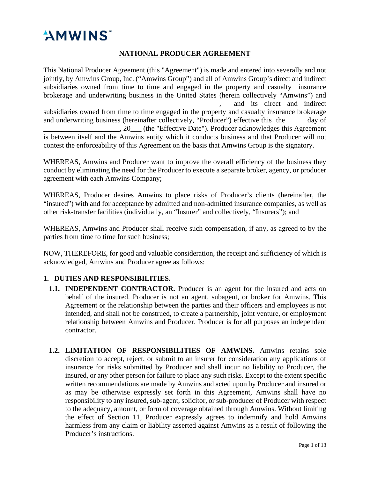# "AMWINS

# **NATIONAL PRODUCER AGREEMENT**

This National Producer Agreement (this "Agreement") is made and entered into severally and not jointly, by Amwins Group, Inc. ("Amwins Group") and all of Amwins Group's direct and indirect subsidiaries owned from time to time and engaged in the property and casualty insurance brokerage and underwriting business in the United States (herein collectively "Amwins") and , and its direct and indirect subsidiaries owned from time to time engaged in the property and casualty insurance brokerage and underwriting business (hereinafter collectively, "Producer") effective this the \_\_\_\_\_ day of \_\_\_\_\_\_\_\_\_\_\_\_\_\_\_\_\_\_\_\_\_, 20\_\_\_ (the "Effective Date"). Producer acknowledges this Agreement is between itself and the Amwins entity which it conducts business and that Producer will not contest the enforceability of this Agreement on the basis that Amwins Group is the signatory.

WHEREAS, Amwins and Producer want to improve the overall efficiency of the business they conduct by eliminating the need for the Producer to execute a separate broker, agency, or producer agreement with each Amwins Company;

WHEREAS, Producer desires Amwins to place risks of Producer's clients (hereinafter, the "insured") with and for acceptance by admitted and non-admitted insurance companies, as well as other risk-transfer facilities (individually, an "Insurer" and collectively, "Insurers"); and

WHEREAS, Amwins and Producer shall receive such compensation, if any, as agreed to by the parties from time to time for such business;

NOW, THEREFORE, for good and valuable consideration, the receipt and sufficiency of which is acknowledged, Amwins and Producer agree as follows:

# **1. DUTIES AND RESPONSIBILITIES.**

- **1.1. INDEPENDENT CONTRACTOR.** Producer is an agent for the insured and acts on behalf of the insured. Producer is not an agent, subagent, or broker for Amwins. This Agreement or the relationship between the parties and their officers and employees is not intended, and shall not be construed, to create a partnership, joint venture, or employment relationship between Amwins and Producer. Producer is for all purposes an independent contractor.
- **1.2. LIMITATION OF RESPONSIBILITIES OF AMWINS.** Amwins retains sole discretion to accept, reject, or submit to an insurer for consideration any applications of insurance for risks submitted by Producer and shall incur no liability to Producer, the insured, or any other person for failure to place any such risks. Except to the extent specific written recommendations are made by Amwins and acted upon by Producer and insured or as may be otherwise expressly set forth in this Agreement, Amwins shall have no responsibility to any insured, sub-agent, solicitor, or sub-producer of Producer with respect to the adequacy, amount, or form of coverage obtained through Amwins. Without limiting the effect of Section 11, Producer expressly agrees to indemnify and hold Amwins harmless from any claim or liability asserted against Amwins as a result of following the Producer's instructions.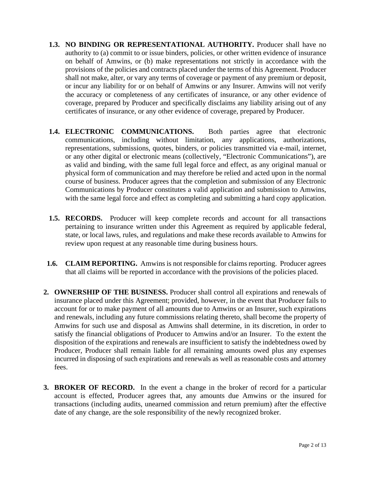- **1.3. NO BINDING OR REPRESENTATIONAL AUTHORITY.** Producer shall have no authority to (a) commit to or issue binders, policies, or other written evidence of insurance on behalf of Amwins, or (b) make representations not strictly in accordance with the provisions of the policies and contracts placed under the terms of this Agreement. Producer shall not make, alter, or vary any terms of coverage or payment of any premium or deposit, or incur any liability for or on behalf of Amwins or any Insurer. Amwins will not verify the accuracy or completeness of any certificates of insurance, or any other evidence of coverage, prepared by Producer and specifically disclaims any liability arising out of any certificates of insurance, or any other evidence of coverage, prepared by Producer.
- **1.4. ELECTRONIC COMMUNICATIONS.** Both parties agree that electronic communications, including without limitation, any applications, authorizations, representations, submissions, quotes, binders, or policies transmitted via e-mail, internet, or any other digital or electronic means (collectively, "Electronic Communications"), are as valid and binding, with the same full legal force and effect, as any original manual or physical form of communication and may therefore be relied and acted upon in the normal course of business. Producer agrees that the completion and submission of any Electronic Communications by Producer constitutes a valid application and submission to Amwins, with the same legal force and effect as completing and submitting a hard copy application.
- **1.5. RECORDS.** Producer will keep complete records and account for all transactions pertaining to insurance written under this Agreement as required by applicable federal, state, or local laws, rules, and regulations and make these records available to Amwins for review upon request at any reasonable time during business hours.
- **1.6. CLAIM REPORTING.** Amwins is not responsible for claims reporting. Producer agrees that all claims will be reported in accordance with the provisions of the policies placed.
- **2. OWNERSHIP OF THE BUSINESS.** Producer shall control all expirations and renewals of insurance placed under this Agreement; provided, however, in the event that Producer fails to account for or to make payment of all amounts due to Amwins or an Insurer, such expirations and renewals, including any future commissions relating thereto, shall become the property of Amwins for such use and disposal as Amwins shall determine, in its discretion, in order to satisfy the financial obligations of Producer to Amwins and/or an Insurer. To the extent the disposition of the expirations and renewals are insufficient to satisfy the indebtedness owed by Producer, Producer shall remain liable for all remaining amounts owed plus any expenses incurred in disposing of such expirations and renewals as well as reasonable costs and attorney fees.
- **3. BROKER OF RECORD.** In the event a change in the broker of record for a particular account is effected, Producer agrees that, any amounts due Amwins or the insured for transactions (including audits, unearned commission and return premium) after the effective date of any change, are the sole responsibility of the newly recognized broker.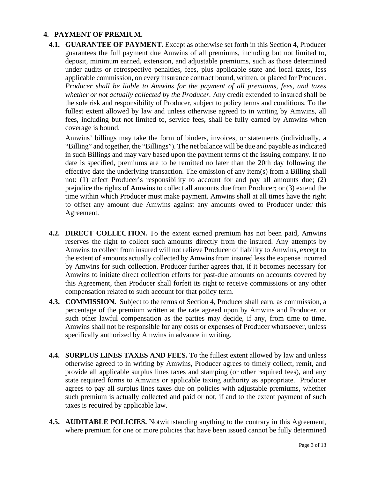## **4. PAYMENT OF PREMIUM.**

**4.1. GUARANTEE OF PAYMENT.** Except as otherwise set forth in this Section 4, Producer guarantees the full payment due Amwins of all premiums, including but not limited to, deposit, minimum earned, extension, and adjustable premiums, such as those determined under audits or retrospective penalties, fees, plus applicable state and local taxes, less applicable commission, on every insurance contract bound, written, or placed for Producer. *Producer shall be liable to Amwins for the payment of all premiums, fees, and taxes whether or not actually collected by the Producer.* Any credit extended to insured shall be the sole risk and responsibility of Producer, subject to policy terms and conditions. To the fullest extent allowed by law and unless otherwise agreed to in writing by Amwins, all fees, including but not limited to, service fees, shall be fully earned by Amwins when coverage is bound.

Amwins' billings may take the form of binders, invoices, or statements (individually, a "Billing" and together, the "Billings"). The net balance will be due and payable as indicated in such Billings and may vary based upon the payment terms of the issuing company. If no date is specified, premiums are to be remitted no later than the 20th day following the effective date the underlying transaction. The omission of any item(s) from a Billing shall not: (1) affect Producer's responsibility to account for and pay all amounts due; (2) prejudice the rights of Amwins to collect all amounts due from Producer; or (3) extend the time within which Producer must make payment. Amwins shall at all times have the right to offset any amount due Amwins against any amounts owed to Producer under this Agreement.

- **4.2. DIRECT COLLECTION.** To the extent earned premium has not been paid, Amwins reserves the right to collect such amounts directly from the insured. Any attempts by Amwins to collect from insured will not relieve Producer of liability to Amwins, except to the extent of amounts actually collected by Amwins from insured less the expense incurred by Amwins for such collection. Producer further agrees that, if it becomes necessary for Amwins to initiate direct collection efforts for past-due amounts on accounts covered by this Agreement, then Producer shall forfeit its right to receive commissions or any other compensation related to such account for that policy term.
- **4.3. COMMISSION.** Subject to the terms of Section 4, Producer shall earn, as commission, a percentage of the premium written at the rate agreed upon by Amwins and Producer, or such other lawful compensation as the parties may decide, if any, from time to time. Amwins shall not be responsible for any costs or expenses of Producer whatsoever, unless specifically authorized by Amwins in advance in writing.
- **4.4. SURPLUS LINES TAXES AND FEES.** To the fullest extent allowed by law and unless otherwise agreed to in writing by Amwins, Producer agrees to timely collect, remit, and provide all applicable surplus lines taxes and stamping (or other required fees), and any state required forms to Amwins or applicable taxing authority as appropriate. Producer agrees to pay all surplus lines taxes due on policies with adjustable premiums, whether such premium is actually collected and paid or not, if and to the extent payment of such taxes is required by applicable law.
- **4.5. AUDITABLE POLICIES.** Notwithstanding anything to the contrary in this Agreement, where premium for one or more policies that have been issued cannot be fully determined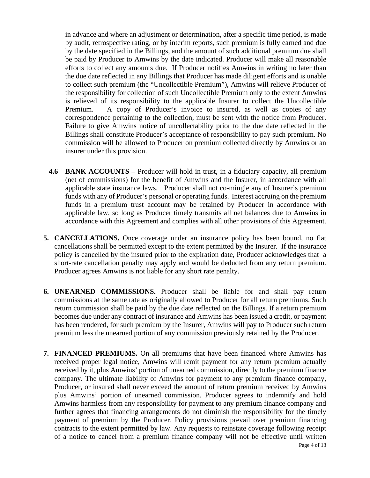in advance and where an adjustment or determination, after a specific time period, is made by audit, retrospective rating, or by interim reports, such premium is fully earned and due by the date specified in the Billings, and the amount of such additional premium due shall be paid by Producer to Amwins by the date indicated. Producer will make all reasonable efforts to collect any amounts due. If Producer notifies Amwins in writing no later than the due date reflected in any Billings that Producer has made diligent efforts and is unable to collect such premium (the "Uncollectible Premium"), Amwins will relieve Producer of the responsibility for collection of such Uncollectible Premium only to the extent Amwins is relieved of its responsibility to the applicable Insurer to collect the Uncollectible Premium. A copy of Producer's invoice to insured, as well as copies of any correspondence pertaining to the collection, must be sent with the notice from Producer. Failure to give Amwins notice of uncollectability prior to the due date reflected in the Billings shall constitute Producer's acceptance of responsibility to pay such premium. No commission will be allowed to Producer on premium collected directly by Amwins or an insurer under this provision.

- **4.6 BANK ACCOUNTS –** Producer will hold in trust, in a fiduciary capacity, all premium (net of commissions) for the benefit of Amwins and the Insurer, in accordance with all applicable state insurance laws. Producer shall not co-mingle any of Insurer's premium funds with any of Producer's personal or operating funds. Interest accruing on the premium funds in a premium trust account may be retained by Producer in accordance with applicable law, so long as Producer timely transmits all net balances due to Amwins in accordance with this Agreement and complies with all other provisions of this Agreement.
- **5. CANCELLATIONS.** Once coverage under an insurance policy has been bound, no flat cancellations shall be permitted except to the extent permitted by the Insurer. If the insurance policy is cancelled by the insured prior to the expiration date, Producer acknowledges that a short-rate cancellation penalty may apply and would be deducted from any return premium. Producer agrees Amwins is not liable for any short rate penalty.
- **6. UNEARNED COMMISSIONS.** Producer shall be liable for and shall pay return commissions at the same rate as originally allowed to Producer for all return premiums. Such return commission shall be paid by the due date reflected on the Billings. If a return premium becomes due under any contract of insurance and Amwins has been issued a credit, or payment has been rendered, for such premium by the Insurer, Amwins will pay to Producer such return premium less the unearned portion of any commission previously retained by the Producer.
- Page 4 of 13 **7. FINANCED PREMIUMS.** On all premiums that have been financed where Amwins has received proper legal notice, Amwins will remit payment for any return premium actually received by it, plus Amwins' portion of unearned commission, directly to the premium finance company. The ultimate liability of Amwins for payment to any premium finance company, Producer, or insured shall never exceed the amount of return premium received by Amwins plus Amwins' portion of unearned commission. Producer agrees to indemnify and hold Amwins harmless from any responsibility for payment to any premium finance company and further agrees that financing arrangements do not diminish the responsibility for the timely payment of premium by the Producer. Policy provisions prevail over premium financing contracts to the extent permitted by law. Any requests to reinstate coverage following receipt of a notice to cancel from a premium finance company will not be effective until written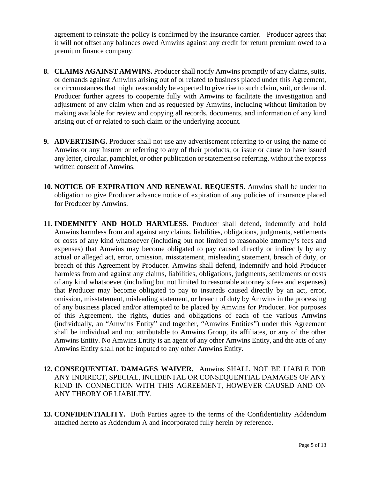agreement to reinstate the policy is confirmed by the insurance carrier. Producer agrees that it will not offset any balances owed Amwins against any credit for return premium owed to a premium finance company.

- **8. CLAIMS AGAINST AMWINS.** Producer shall notify Amwins promptly of any claims, suits, or demands against Amwins arising out of or related to business placed under this Agreement, or circumstances that might reasonably be expected to give rise to such claim, suit, or demand. Producer further agrees to cooperate fully with Amwins to facilitate the investigation and adjustment of any claim when and as requested by Amwins, including without limitation by making available for review and copying all records, documents, and information of any kind arising out of or related to such claim or the underlying account.
- **9. ADVERTISING.** Producer shall not use any advertisement referring to or using the name of Amwins or any Insurer or referring to any of their products, or issue or cause to have issued any letter, circular, pamphlet, or other publication or statement so referring, without the express written consent of Amwins.
- **10. NOTICE OF EXPIRATION AND RENEWAL REQUESTS.** Amwins shall be under no obligation to give Producer advance notice of expiration of any policies of insurance placed for Producer by Amwins.
- **11. INDEMNITY AND HOLD HARMLESS.** Producer shall defend, indemnify and hold Amwins harmless from and against any claims, liabilities, obligations, judgments, settlements or costs of any kind whatsoever (including but not limited to reasonable attorney's fees and expenses) that Amwins may become obligated to pay caused directly or indirectly by any actual or alleged act, error, omission, misstatement, misleading statement, breach of duty, or breach of this Agreement by Producer. Amwins shall defend, indemnify and hold Producer harmless from and against any claims, liabilities, obligations, judgments, settlements or costs of any kind whatsoever (including but not limited to reasonable attorney's fees and expenses) that Producer may become obligated to pay to insureds caused directly by an act, error, omission, misstatement, misleading statement, or breach of duty by Amwins in the processing of any business placed and/or attempted to be placed by Amwins for Producer. For purposes of this Agreement, the rights, duties and obligations of each of the various Amwins (individually, an "Amwins Entity" and together, "Amwins Entities") under this Agreement shall be individual and not attributable to Amwins Group, its affiliates, or any of the other Amwins Entity. No Amwins Entity is an agent of any other Amwins Entity, and the acts of any Amwins Entity shall not be imputed to any other Amwins Entity.
- **12. CONSEQUENTIAL DAMAGES WAIVER.** Amwins SHALL NOT BE LIABLE FOR ANY INDIRECT, SPECIAL, INCIDENTAL OR CONSEQUENTIAL DAMAGES OF ANY KIND IN CONNECTION WITH THIS AGREEMENT, HOWEVER CAUSED AND ON ANY THEORY OF LIABILITY.
- **13. CONFIDENTIALITY.** Both Parties agree to the terms of the Confidentiality Addendum attached hereto as Addendum A and incorporated fully herein by reference.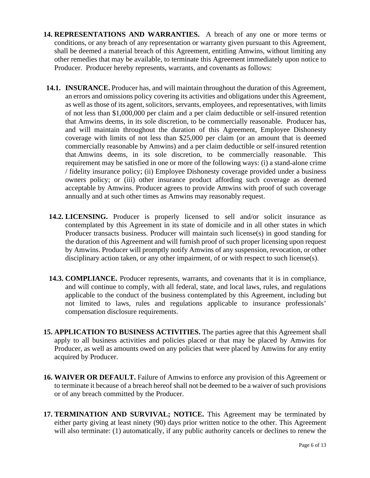- **14. REPRESENTATIONS AND WARRANTIES.** A breach of any one or more terms or conditions, or any breach of any representation or warranty given pursuant to this Agreement, shall be deemed a material breach of this Agreement, entitling Amwins, without limiting any other remedies that may be available, to terminate this Agreement immediately upon notice to Producer. Producer hereby represents, warrants, and covenants as follows:
- **14.1. INSURANCE.** Producer has, and will maintain throughout the duration of this Agreement, an errors and omissions policy covering its activities and obligations under this Agreement, as well as those of its agent, solicitors, servants, employees, and representatives, with limits of not less than \$1,000,000 per claim and a per claim deductible or self-insured retention that Amwins deems, in its sole discretion, to be commercially reasonable. Producer has, and will maintain throughout the duration of this Agreement, Employee Dishonesty coverage with limits of not less than \$25,000 per claim (or an amount that is deemed commercially reasonable by Amwins) and a per claim deductible or self-insured retention that Amwins deems, in its sole discretion, to be commercially reasonable. This requirement may be satisfied in one or more of the following ways: (i) a stand-alone crime / fidelity insurance policy; (ii) Employee Dishonesty coverage provided under a business owners policy; or (iii) other insurance product affording such coverage as deemed acceptable by Amwins. Producer agrees to provide Amwins with proof of such coverage annually and at such other times as Amwins may reasonably request.
- **14.2. LICENSING.** Producer is properly licensed to sell and/or solicit insurance as contemplated by this Agreement in its state of domicile and in all other states in which Producer transacts business. Producer will maintain such license(s) in good standing for the duration of this Agreement and will furnish proof of such proper licensing upon request by Amwins. Producer will promptly notify Amwins of any suspension, revocation, or other disciplinary action taken, or any other impairment, of or with respect to such license(s).
- **14.3. COMPLIANCE.** Producer represents, warrants, and covenants that it is in compliance, and will continue to comply, with all federal, state, and local laws, rules, and regulations applicable to the conduct of the business contemplated by this Agreement, including but not limited to laws, rules and regulations applicable to insurance professionals' compensation disclosure requirements.
- **15. APPLICATION TO BUSINESS ACTIVITIES.** The parties agree that this Agreement shall apply to all business activities and policies placed or that may be placed by Amwins for Producer, as well as amounts owed on any policies that were placed by Amwins for any entity acquired by Producer.
- **16. WAIVER OR DEFAULT.** Failure of Amwins to enforce any provision of this Agreement or to terminate it because of a breach hereof shall not be deemed to be a waiver of such provisions or of any breach committed by the Producer.
- **17. TERMINATION AND SURVIVAL; NOTICE.** This Agreement may be terminated by either party giving at least ninety (90) days prior written notice to the other. This Agreement will also terminate: (1) automatically, if any public authority cancels or declines to renew the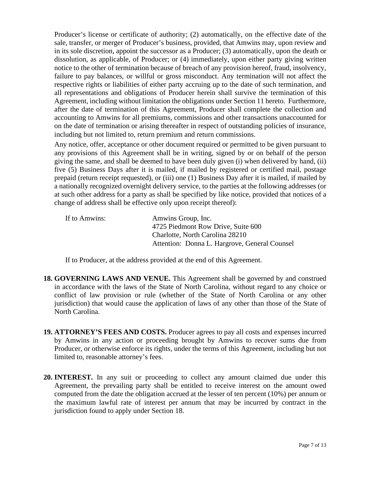Producer's license or certificate of authority; (2) automatically, on the effective date of the sale, transfer, or merger of Producer's business, provided, that Amwins may, upon review and in its sole discretion, appoint the successor as a Producer; (3) automatically, upon the death or dissolution, as applicable, of Producer; or (4) immediately, upon either party giving written notice to the other of termination because of breach of any provision hereof, fraud, insolvency, failure to pay balances, or willful or gross misconduct. Any termination will not affect the respective rights or liabilities of either party accruing up to the date of such termination, and all representations and obligations of Producer herein shall survive the termination of this Agreement, including without limitation the obligations under Section 11 hereto. Furthermore, after the date of termination of this Agreement, Producer shall complete the collection and accounting to Amwins for all premiums, commissions and other transactions unaccounted for on the date of termination or arising thereafter in respect of outstanding policies of insurance, including but not limited to, return premium and return commissions.

Any notice, offer, acceptance or other document required or permitted to be given pursuant to any provisions of this Agreement shall be in writing, signed by or on behalf of the person giving the same, and shall be deemed to have been duly given (i) when delivered by hand, (ii) five (5) Business Days after it is mailed, if mailed by registered or certified mail, postage prepaid (return receipt requested), or (iii) one (1) Business Day after it is mailed, if mailed by a nationally recognized overnight delivery service, to the parties at the following addresses (or at such other address for a party as shall be specified by like notice, provided that notices of a change of address shall be effective only upon receipt thereof):

| If to Amwins: | Amwins Group, Inc.                            |
|---------------|-----------------------------------------------|
|               | 4725 Piedmont Row Drive, Suite 600            |
|               | Charlotte, North Carolina 28210               |
|               | Attention: Donna L. Hargrove, General Counsel |

If to Producer, at the address provided at the end of this Agreement.

- **18. GOVERNING LAWS AND VENUE.** This Agreement shall be governed by and construed in accordance with the laws of the State of North Carolina, without regard to any choice or conflict of law provision or rule (whether of the State of North Carolina or any other jurisdiction) that would cause the application of laws of any other than those of the State of North Carolina.
- **19. ATTORNEY'S FEES AND COSTS.** Producer agrees to pay all costs and expenses incurred by Amwins in any action or proceeding brought by Amwins to recover sums due from Producer, or otherwise enforce its rights, under the terms of this Agreement, including but not limited to, reasonable attorney's fees.
- **20. INTEREST.** In any suit or proceeding to collect any amount claimed due under this Agreement, the prevailing party shall be entitled to receive interest on the amount owed computed from the date the obligation accrued at the lesser of ten percent (10%) per annum or the maximum lawful rate of interest per annum that may be incurred by contract in the jurisdiction found to apply under Section 18.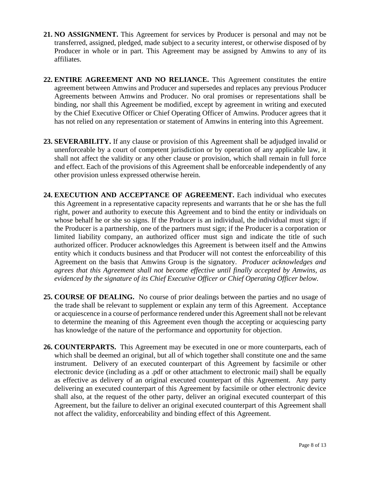- **21. NO ASSIGNMENT.** This Agreement for services by Producer is personal and may not be transferred, assigned, pledged, made subject to a security interest, or otherwise disposed of by Producer in whole or in part. This Agreement may be assigned by Amwins to any of its affiliates.
- **22. ENTIRE AGREEMENT AND NO RELIANCE.** This Agreement constitutes the entire agreement between Amwins and Producer and supersedes and replaces any previous Producer Agreements between Amwins and Producer. No oral promises or representations shall be binding, nor shall this Agreement be modified, except by agreement in writing and executed by the Chief Executive Officer or Chief Operating Officer of Amwins. Producer agrees that it has not relied on any representation or statement of Amwins in entering into this Agreement.
- **23. SEVERABILITY.** If any clause or provision of this Agreement shall be adjudged invalid or unenforceable by a court of competent jurisdiction or by operation of any applicable law, it shall not affect the validity or any other clause or provision, which shall remain in full force and effect. Each of the provisions of this Agreement shall be enforceable independently of any other provision unless expressed otherwise herein.
- **24. EXECUTION AND ACCEPTANCE OF AGREEMENT.** Each individual who executes this Agreement in a representative capacity represents and warrants that he or she has the full right, power and authority to execute this Agreement and to bind the entity or individuals on whose behalf he or she so signs. If the Producer is an individual, the individual must sign; if the Producer is a partnership, one of the partners must sign; if the Producer is a corporation or limited liability company, an authorized officer must sign and indicate the title of such authorized officer. Producer acknowledges this Agreement is between itself and the Amwins entity which it conducts business and that Producer will not contest the enforceability of this Agreement on the basis that Amwins Group is the signatory. *Producer acknowledges and agrees that this Agreement shall not become effective until finally accepted by Amwins, as evidenced by the signature of its Chief Executive Officer or Chief Operating Officer below.*
- **25. COURSE OF DEALING.** No course of prior dealings between the parties and no usage of the trade shall be relevant to supplement or explain any term of this Agreement. Acceptance or acquiescence in a course of performance rendered under this Agreement shall not be relevant to determine the meaning of this Agreement even though the accepting or acquiescing party has knowledge of the nature of the performance and opportunity for objection.
- **26. COUNTERPARTS.** This Agreement may be executed in one or more counterparts, each of which shall be deemed an original, but all of which together shall constitute one and the same instrument. Delivery of an executed counterpart of this Agreement by facsimile or other electronic device (including as a .pdf or other attachment to electronic mail) shall be equally as effective as delivery of an original executed counterpart of this Agreement. Any party delivering an executed counterpart of this Agreement by facsimile or other electronic device shall also, at the request of the other party, deliver an original executed counterpart of this Agreement, but the failure to deliver an original executed counterpart of this Agreement shall not affect the validity, enforceability and binding effect of this Agreement.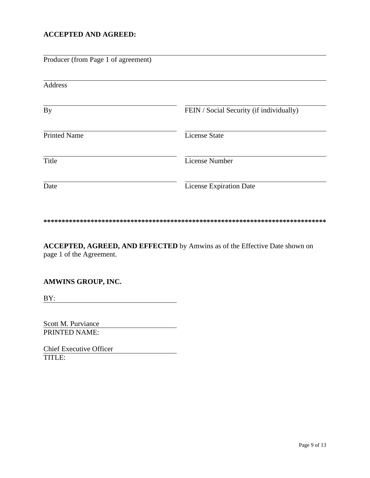# **ACCEPTED AND AGREED:**

| Producer (from Page 1 of agreement) |                                          |
|-------------------------------------|------------------------------------------|
| Address                             |                                          |
| By                                  | FEIN / Social Security (if individually) |
| <b>Printed Name</b>                 | <b>License State</b>                     |
| Title                               | <b>License Number</b>                    |
| Date                                | <b>License Expiration Date</b>           |

#### **\*\*\*\*\*\*\*\*\*\*\*\*\*\*\*\*\*\*\*\*\*\*\*\*\*\*\*\*\*\*\*\*\*\*\*\*\*\*\*\*\*\*\*\*\*\*\*\*\*\*\*\*\*\*\*\*\*\*\*\*\*\*\*\*\*\*\*\*\*\*\*\*\*\*\*\*\*\***

**ACCEPTED, AGREED, AND EFFECTED** by Amwins as of the Effective Date shown on page 1 of the Agreement.

# **AMWINS GROUP, INC.**

BY:

Scott M. Purviance PRINTED NAME:

Chief Executive Officer TITLE: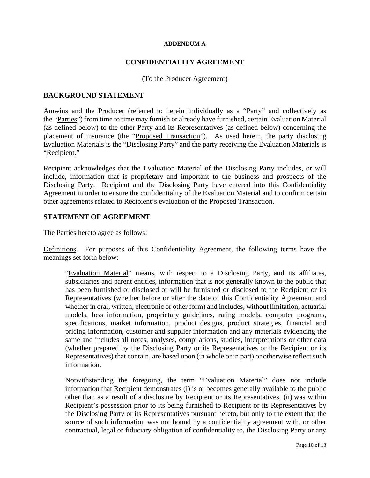#### **ADDENDUM A**

#### **CONFIDENTIALITY AGREEMENT**

(To the Producer Agreement)

#### **BACKGROUND STATEMENT**

Amwins and the Producer (referred to herein individually as a "Party" and collectively as the "Parties") from time to time may furnish or already have furnished, certain Evaluation Material (as defined below) to the other Party and its Representatives (as defined below) concerning the placement of insurance (the "Proposed Transaction"). As used herein, the party disclosing Evaluation Materials is the "Disclosing Party" and the party receiving the Evaluation Materials is "Recipient."

Recipient acknowledges that the Evaluation Material of the Disclosing Party includes, or will include, information that is proprietary and important to the business and prospects of the Disclosing Party. Recipient and the Disclosing Party have entered into this Confidentiality Agreement in order to ensure the confidentiality of the Evaluation Material and to confirm certain other agreements related to Recipient's evaluation of the Proposed Transaction.

## **STATEMENT OF AGREEMENT**

The Parties hereto agree as follows:

Definitions. For purposes of this Confidentiality Agreement, the following terms have the meanings set forth below:

"Evaluation Material" means, with respect to a Disclosing Party, and its affiliates, subsidiaries and parent entities, information that is not generally known to the public that has been furnished or disclosed or will be furnished or disclosed to the Recipient or its Representatives (whether before or after the date of this Confidentiality Agreement and whether in oral, written, electronic or other form) and includes, without limitation, actuarial models, loss information, proprietary guidelines, rating models, computer programs, specifications, market information, product designs, product strategies, financial and pricing information, customer and supplier information and any materials evidencing the same and includes all notes, analyses, compilations, studies, interpretations or other data (whether prepared by the Disclosing Party or its Representatives or the Recipient or its Representatives) that contain, are based upon (in whole or in part) or otherwise reflect such information.

Notwithstanding the foregoing, the term "Evaluation Material" does not include information that Recipient demonstrates (i) is or becomes generally available to the public other than as a result of a disclosure by Recipient or its Representatives, (ii) was within Recipient's possession prior to its being furnished to Recipient or its Representatives by the Disclosing Party or its Representatives pursuant hereto, but only to the extent that the source of such information was not bound by a confidentiality agreement with, or other contractual, legal or fiduciary obligation of confidentiality to, the Disclosing Party or any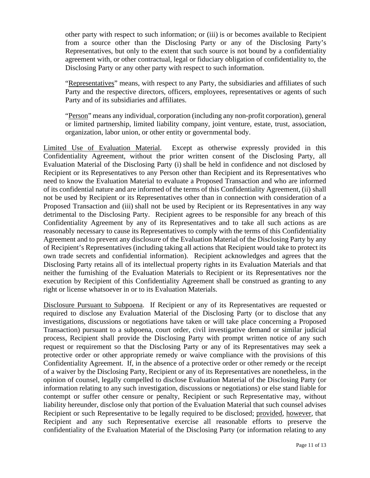other party with respect to such information; or (iii) is or becomes available to Recipient from a source other than the Disclosing Party or any of the Disclosing Party's Representatives, but only to the extent that such source is not bound by a confidentiality agreement with, or other contractual, legal or fiduciary obligation of confidentiality to, the Disclosing Party or any other party with respect to such information.

"Representatives" means, with respect to any Party, the subsidiaries and affiliates of such Party and the respective directors, officers, employees, representatives or agents of such Party and of its subsidiaries and affiliates.

"Person" means any individual, corporation (including any non-profit corporation), general or limited partnership, limited liability company, joint venture, estate, trust, association, organization, labor union, or other entity or governmental body.

Limited Use of Evaluation Material. Except as otherwise expressly provided in this Confidentiality Agreement, without the prior written consent of the Disclosing Party, all Evaluation Material of the Disclosing Party (i) shall be held in confidence and not disclosed by Recipient or its Representatives to any Person other than Recipient and its Representatives who need to know the Evaluation Material to evaluate a Proposed Transaction and who are informed of its confidential nature and are informed of the terms of this Confidentiality Agreement, (ii) shall not be used by Recipient or its Representatives other than in connection with consideration of a Proposed Transaction and (iii) shall not be used by Recipient or its Representatives in any way detrimental to the Disclosing Party. Recipient agrees to be responsible for any breach of this Confidentiality Agreement by any of its Representatives and to take all such actions as are reasonably necessary to cause its Representatives to comply with the terms of this Confidentiality Agreement and to prevent any disclosure of the Evaluation Material of the Disclosing Party by any of Recipient's Representatives (including taking all actions that Recipient would take to protect its own trade secrets and confidential information). Recipient acknowledges and agrees that the Disclosing Party retains all of its intellectual property rights in its Evaluation Materials and that neither the furnishing of the Evaluation Materials to Recipient or its Representatives nor the execution by Recipient of this Confidentiality Agreement shall be construed as granting to any right or license whatsoever in or to its Evaluation Materials.

Disclosure Pursuant to Subpoena. If Recipient or any of its Representatives are requested or required to disclose any Evaluation Material of the Disclosing Party (or to disclose that any investigations, discussions or negotiations have taken or will take place concerning a Proposed Transaction) pursuant to a subpoena, court order, civil investigative demand or similar judicial process, Recipient shall provide the Disclosing Party with prompt written notice of any such request or requirement so that the Disclosing Party or any of its Representatives may seek a protective order or other appropriate remedy or waive compliance with the provisions of this Confidentiality Agreement. If, in the absence of a protective order or other remedy or the receipt of a waiver by the Disclosing Party, Recipient or any of its Representatives are nonetheless, in the opinion of counsel, legally compelled to disclose Evaluation Material of the Disclosing Party (or information relating to any such investigation, discussions or negotiations) or else stand liable for contempt or suffer other censure or penalty, Recipient or such Representative may, without liability hereunder, disclose only that portion of the Evaluation Material that such counsel advises Recipient or such Representative to be legally required to be disclosed; provided, however, that Recipient and any such Representative exercise all reasonable efforts to preserve the confidentiality of the Evaluation Material of the Disclosing Party (or information relating to any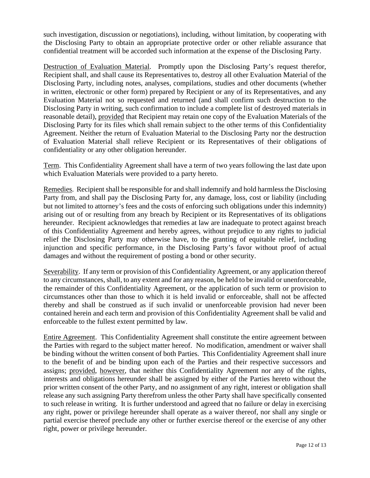such investigation, discussion or negotiations), including, without limitation, by cooperating with the Disclosing Party to obtain an appropriate protective order or other reliable assurance that confidential treatment will be accorded such information at the expense of the Disclosing Party.

Destruction of Evaluation Material. Promptly upon the Disclosing Party's request therefor, Recipient shall, and shall cause its Representatives to, destroy all other Evaluation Material of the Disclosing Party, including notes, analyses, compilations, studies and other documents (whether in written, electronic or other form) prepared by Recipient or any of its Representatives, and any Evaluation Material not so requested and returned (and shall confirm such destruction to the Disclosing Party in writing, such confirmation to include a complete list of destroyed materials in reasonable detail), provided that Recipient may retain one copy of the Evaluation Materials of the Disclosing Party for its files which shall remain subject to the other terms of this Confidentiality Agreement. Neither the return of Evaluation Material to the Disclosing Party nor the destruction of Evaluation Material shall relieve Recipient or its Representatives of their obligations of confidentiality or any other obligation hereunder.

Term. This Confidentiality Agreement shall have a term of two years following the last date upon which Evaluation Materials were provided to a party hereto.

Remedies. Recipient shall be responsible for and shall indemnify and hold harmless the Disclosing Party from, and shall pay the Disclosing Party for, any damage, loss, cost or liability (including but not limited to attorney's fees and the costs of enforcing such obligations under this indemnity) arising out of or resulting from any breach by Recipient or its Representatives of its obligations hereunder. Recipient acknowledges that remedies at law are inadequate to protect against breach of this Confidentiality Agreement and hereby agrees, without prejudice to any rights to judicial relief the Disclosing Party may otherwise have, to the granting of equitable relief, including injunction and specific performance, in the Disclosing Party's favor without proof of actual damages and without the requirement of posting a bond or other security.

Severability. If any term or provision of this Confidentiality Agreement, or any application thereof to any circumstances, shall, to any extent and for any reason, be held to be invalid or unenforceable, the remainder of this Confidentiality Agreement, or the application of such term or provision to circumstances other than those to which it is held invalid or enforceable, shall not be affected thereby and shall be construed as if such invalid or unenforceable provision had never been contained herein and each term and provision of this Confidentiality Agreement shall be valid and enforceable to the fullest extent permitted by law.

Entire Agreement. This Confidentiality Agreement shall constitute the entire agreement between the Parties with regard to the subject matter hereof. No modification, amendment or waiver shall be binding without the written consent of both Parties. This Confidentiality Agreement shall inure to the benefit of and be binding upon each of the Parties and their respective successors and assigns; provided, however, that neither this Confidentiality Agreement nor any of the rights, interests and obligations hereunder shall be assigned by either of the Parties hereto without the prior written consent of the other Party, and no assignment of any right, interest or obligation shall release any such assigning Party therefrom unless the other Party shall have specifically consented to such release in writing. It is further understood and agreed that no failure or delay in exercising any right, power or privilege hereunder shall operate as a waiver thereof, nor shall any single or partial exercise thereof preclude any other or further exercise thereof or the exercise of any other right, power or privilege hereunder.